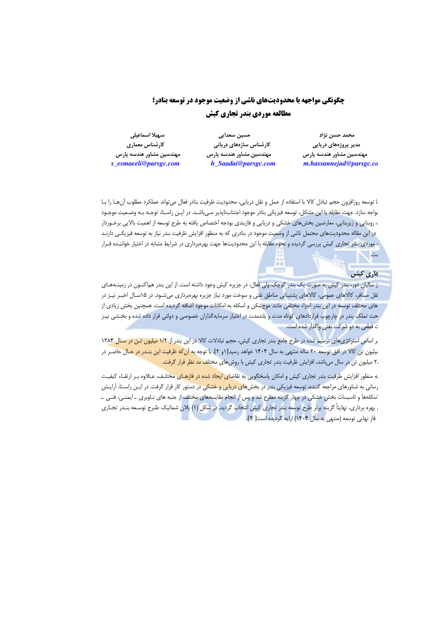# **چگونگی مواجهه با محدودیتهای ناشی از وضعیت موجود در توسعه بنادر؛** مطالعه موردي بندر تجاري كيش

سيهيلا اسماعيلى کارشناس معماری مهندسین مشاور هندسه یارس s\_esmaeeli@parsgc.com

حسین سعدایی کارشناس سازههای دریائی مهندسین مشاور هندسه یارس h\_Saadai@parsgc.com

محمد حسن نژاد مدیر پروژههای دریایی مهندسین مشاور هندسه یارس m.hassannejad@parsgc.co

! توسعه روزافزون حجم تبادل كالا با استفاده از حمل و نقل دريايي، محدوديت ظرفيت بنادر فعال مي تواند عملكرد مطلوب آن هـا را بـا بواجه سازد. جهت مقابله با این مشکل، توسعه فیزیکی بنادر موجود اجتنابiاپذیر مـیباشـد. در ایـن راسـتا، توجـه بـه وضـعیت موجـود ، روبنایی و زیربنایی، معارضین بخشهای خشکی و دریایی و فازبندی بودجه اختصاص یافته به طرح توسعه از اهمیت بالایی برخـوردار در این مقاله محدودیتهای محتمل ناشی از وضعیت موجود در بنادری که به منظور افزایش ظرفیت بندر نیاز به توسعه فیزیکی دارنـد ، موردی بندر تجاری کیش بررسی گردیده و نحوه مقابله با این محدودیتها جهت بهرهبرداری در شرایط مشابه در اختیار خواننـده قـرار

#### عاري کيش

ىت.

ز سالیان دور، بندر کیش به صورت یک بندر کوچک ولی فعال، در جزیره کیش وجود داشته است. از این بندر هماکنـون در زمینـههـای نقل مسافر، کالاهای عمومی، کالاهای پشتیبانی مناطق نفتی و سوخت مورد نیاز جزیره بهرهبرداری میشـود. در ۱۵سـال اخیـر نیـز در های مختلف توسعه در این بندر اجزاء مختلفی مانند موجشکن و اسکله به امکانات موجود اضافه گردیده است. همچنین بخش زیادی از حت تملک بندر در چارچوب قراردادهای کوتاه مدت و بلندمدت در اختیار سرمایهگذاران خصوصی و دولتی قرار داده شده و بخـشی نیـز ت قطعی به دو شرکت نفتی واگذار شده است.

. راساس استراتژیهای ترسیم شده در طرح جامع بندر تجاری کیش، حجم تبادلات کالا در این بندر از ۱/۲ میلیون تـن در سال ۱۳۸۴ بیلیون تن کالا در افق توسعه ۲۰ ساله منتهی به سال ۱۴۰۴ خواهد رسید[۱و ۲]. با توجه به آن *که* ظرفیت این بنـدر در حـال حاضـر در ۲٫ میلیون ت<mark>ن</mark> در سال میباشد، افزایش ظرفیت بندر تجاری کیش با روشهای مختلف <mark>مد نظر قرار گرفت.</mark>

به منظور افزایش ظرفیت بندر تجاری کیش و امکان پاسخگویی به تقاض<mark>ای ایجاد شده در فازهـای مخ</mark>تلـف، عـلاوه بـر ارتقـاء کیفیـت رسانی به شناورهای مراجعه کننده، توسعه فیزیکی بندر در بخشها<mark>ی دریایی و خشکی در</mark> دستور کار قرار گرفت. در ایـن راسـتا، آرایـش 'سکلهها و تاسیسات بخش خشکی در چهار گزینه مطرح شد و پس از انجام مقایسههای مختلف از جنبه های نـاوبری \_ایمنـی، فنـی \_ <sub>؛</sub> بهره برداری، نهایتاً گزینه برتر طرح توسعه بندر تجاری کیش انتخاب گردید. در شکل (۱) پلان شماتیک طـرح توسـعه بنـدر تجـاری فاز نهایی توسعه (منتهی به سال ۱۴۰۴) ارایه گردیده است[ ۳].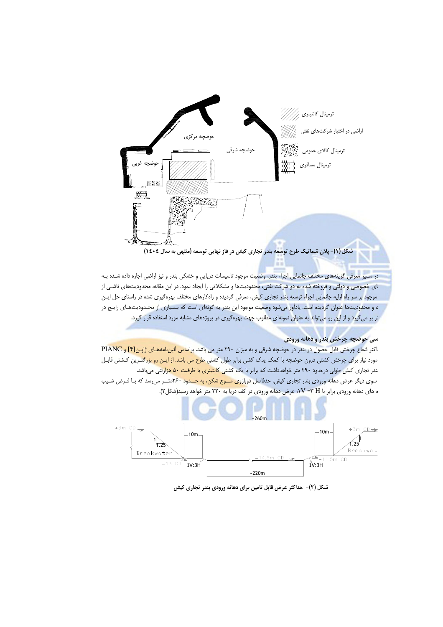

شکل (۱)- پلان شماتیک طرح توسعه بندر تجاری کیش در فاز نهایی توسعه (منتهی به سال ١٤٠٤)

۔<br>در مسیر معرفی گزینههای مختلف جانمایی اجزاء بندر، وضعیت موجود تاسیسات دریایی و خشکی بندر و نیز اراضی اجاره داده شـده بـه ای خصوصی و د<mark>ولتی و فروخته شده به دو شرکت نفتی، محدودیتها و مشکلاتی را ایجاد نمود. در این مقاله، محدودیتهای ناشـی از</mark> موجود بر سر راه ارایه جانمایی اجراء توسعه بندر تجاری کیش، معرفی گردیده و راهکارهای مختلف بهرهگیری شده در راستای حل ایـن ، و محدودیتها عنوان گردیده است. یادآور میشود وضعیت موجود این بندر به گونهای است که بـسیاری از محـدودیتهـای رایـج در در بر میگیرد و از این رو می تواند به عنوان نمونهای مطلوب جهت بهرهگیری در پروژههای مشابه مورد استفاده قرار گیرد.

#### سي حوضچه چرخش بندر و دهانه ورودي

اکثر شعاع چرخش قابل حصول در بندر در حوضچه شرقی و به میزان ۲۹۰ متر می باشد. براساس آئیننامههای ژاپن[۴] و PIANC مورد نیاز برای چرخش کشتی درون حوضچه با کمک یدک کشی برابر طول کشتی ط<mark>رح می باشد. از ایـن رو بزرگتـر</mark>ین کـشتی قابـل .<br>ندر تجاری کیش طولی درحدود ۲۹۰ متر خواهدداشت که برابر با یک کشتی کانت<mark>ینری با ظرفیت ۵۰ هزار</mark>تنی میباشد. سوی دیگر عرض دهانه ورودی بندر تجاری کیش، حدفاصل دوبازو<mark>ی مــوج شکن، به حــدود ۲۶۰</mark>متــر میرسد که بـا فـرض شـیب ه های دهانه ورودی برابر با V =۳ H، عرض دهانه ورودی در کف دریا به ۲۲۰ متر خواهد رسید(شکل۲).



شکل (۲)- حداکثر عرض قابل تامین برای دهانه ورودی بندر تجاری کیش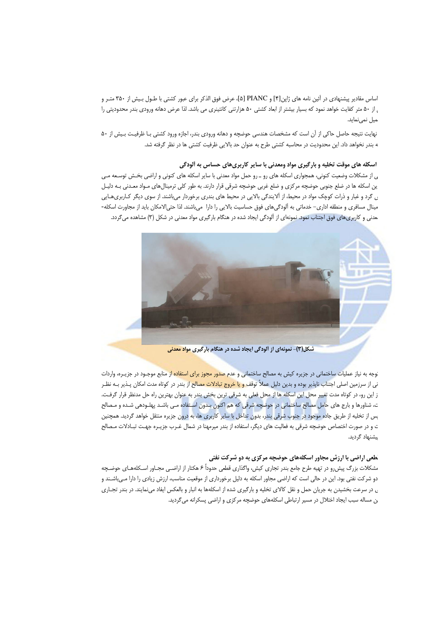اساس مقادیر پیشنهادی در آئین نامه های ژاپن[۴] و PIANC [۵]، عرض فوق الذکر برای عبور کشتی با طـول بـیش از ۳۵۰ متـر و ، از ۵۰ متر کفایت خواهد نمود که بسیار بیشتر از ابعاد کشتی ۵۰ هزارتنی کانتینری می باشد. لذا عرض دهانه ورودی بندر محدودیتی را میل نمینماید.

نهایت نتیجه حاصل حاکی از آن است که مشخصات هندسی حوضچه و دهانه ورودی بندر، اجازه ورود کشتی بـا ظرفیـت بـیش از ۵۰ ه بندر نخواهد داد. این محدودیت در محاسبه کشتی طرح به عنوان حد بالایی ظرفیت کشتی ها در نظر گرفته شد.

### اسکله های موقت تخلیه و بارگیری مواد ومعدنی با سایر کاربریهای حساس به آلودگی

ی از مشکلات وضعیت کنونی، همجواری اسکله های رو ـ رو حمل مواد معدنی با سایر اسکله های کنونی و اراضی بخش توسـعه مـی ین اسکله ها در ضلع جنوبی حوضچه مرکزی و ضلع غربی حوضچه شرقی قرار دارند. به طور کلی ترمینالهای مـواد معـدنی بـه دلیـل ن گرد و غبار و ذرات کوچک مواد در محیط، از آلایندگی بالایی در محیط های بندری برخوردار میباشند. از سوی دیگر کـاربریهـایی مینال مسافری و منطقه اداری– خدماتی به آلودگیهای فوق حساسیت بالایی را دارا میباشند. لذا حتیالامکان باید از مجاورت اسکله-بعدنی و کاربریهای فوق اجتناب نمود. نمونهای از آلودگی ایجاد شده در هنگام بارگیری مواد معدنی در شکل (۳) مشاهده میگردد.



شکل(۳)- نمونهای از آلودگی ایجاد شده در هنگام بارگیری مواد معدنی

نوجه به نیاز عملیات ساختمانی در جزیره کیش به مصالح ساختمانی و عدم <mark>صدور مجوز برای استفاده از</mark> منابع موجـود در جزیـره، واردات نی از سرزمین اصلی اجتناب ناپذیر بوده و بدین دلیل عملاً توقف <mark>و یا خروج تبادلات مصالح از</mark> بندر در کوتاه مدت امکان پـذیر بـه نظـر ز این رو، در کوتاه مدت تغییر محل این اسکله ها از محل فعلی به شرقی ترین بخش بندر به عنوان بهترین راه حل مدنظر قرار گرفت. ت، شناورها و بارج های حامل <mark>مصالح ساختمانی در حوضچه شرقی که هم اکنون بـدون اسـتفاده مـی باشـد پهلـودهی شـده و مـصالح</mark> <sub>ت</sub>س از تخلیه از طریق جاده موجود در جنوب شرقی بند<mark>ر، بدون تداخل</mark> با سایر کاربری ها، به درون جزیره منتقل خواهد گردید. همچنین ت و در صورت اختصاص حوضچه شرقی به فعالیت های دیگر، استفاده از بندر میرمهنا در شمال غـرب جزیـره جهـت تبـادلات مـصالح یشنهاد گردید.

#### **ُطعی اراضی با ارزش مجاور اسکلههای حوضچه مرکزی به دو شرکت نفتی**

مشکلات بزرگ پیشررو در تهیه طرح جامع بندر تجاری کیش، واگذاری قطعی حدوداً ۶ هکتار از اراضـی مجـاور اسـکلههـای حوضـچه دو شرکت نفتی بود. این در حالی است که اراضی مجاور اسکله به دلیل برخورداری از موقعیت مناسب، ارزش زیادی را دارا مےباشـند و ن در سرعت بخشیدن به جریان حمل و نقل کالای تخلیه و بارگیری شده از اسکلهها به انبار و بالعکس ایفاد مینمایند. در بندر تجـاری ن مساله سبب ایجاد اختلال در مسیر ارتباطی اسکلههای حوضچه مرکزی و اراضی پسکرانه میگردید.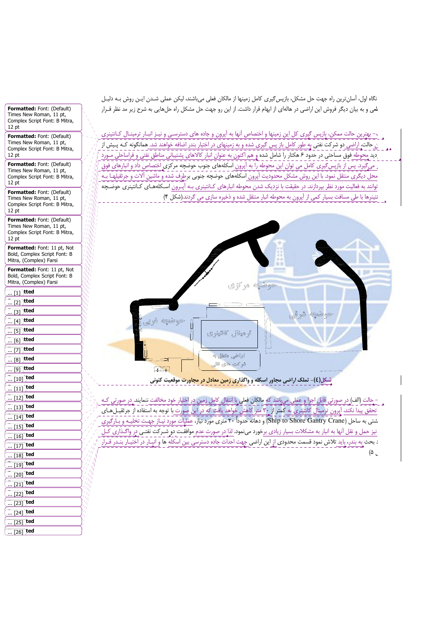نگاه اول، أسانترين راه جهت حل مشكل، بازپس گيري كامل زمينها از مالكان فعلي مي باشند، ليكن عملي شـدن ايـن روش بـه دليـل لمی و به بیان دیگر فروش این اراضی در هالهای از ابهام قرار داشت. از این رو جهت حل مشکل راه حلهایی به شرح زیر مد نظر قـرار

.<br>\_ >– بهترین حالت ممکن، بازپس گیری کل این زمینها و اختصاص آنها به آپرون و جاده های دسترسـی و نیـز انبـار ترمینـال کـانتینری ن حالت، اراضی دو شرکت نفتی به طور کامل باز پس گیری شده و به زمینهای در اختیار بندر اضافه خواهند شد. همانگونه کـه پـیش از دید محوطه فوق مساحتی در حدود ۶ هکتار را شامل شده و هم اکنون به عنوان انبار کالاهای پشتیبانی مناطق نفتی و فراساحلی مـورد <sub>د</sub> می گیرد. پس از بازپس *گ*یری کامل می توان این محوطه را به آپرون اسکلههای جنوب حوضچه مرکزی ٍاختصاص داد و انبارهای فوق محل دیگری منتقل نمود. با این روش مشکل محدودیت آپرون اسکلههای حوضچه جنوبی برطرف شده و ماشین آلات و جرثقیلهـا بـه توانند به فعالیت مورد نظر بپردازند. در حقیقت با نزدیک شدن محوطه انبارهای کـانتینری بـه آپـرون اسـکلههـای کـانتینری حوضـچه نتینرها با طی مسافت بسیار کمی از آپرون به محوطه انبار منتقل شده و ذخیره سازی می گردند.(شکل ۴)



شکل(٤)- تملک اراضی مجاور اسکله و واگذا<mark>ری زمین معادل در مجاورت</mark> موقعیت کنونی

- حالت (الف) در صورتی قابل اجرا و عملی می اشد که مالکان فعلی با انتقال کامل زمین در اختیار خود مخالفت ننمایند. در صورتی کـه تحقق پیدا نکند، آپرون ترمینال کانتینری به کمتر از ۳۰ متر کاهش خواهد یافت که در این صورت با توجه به استفاده از جرثقیـلهـای شتی به ساحل (Ship to Shore Gantry Crane) و دهانه حدوداً ۲۰ متری مورد نیاز، عملیات مورد نیـاز جهـت تخلیـه و بـارگیری نیز حمل و نقل آنها به انبار به مشکلات بسیار زیادی برخورد مینمود. لذا در صورت عدم موافقت دو شـرکت نفتـی در واگـذاری کـل : بحث به بندر، باید <mark>تلاش نمود قسمت محدودی از این اراضی</mark> جهت احداث جاده دسترسی بین اسکله ها و انبـار در اختیـار بنـدر قـ  $(\Delta)$ 

Formatted: Font: (Default) Times New Roman, 11 pt, Complex Script Font: B Mitra,  $12 \text{ pt}$ 

Formatted: Font: (Default) Times New Roman, 11 pt, Complex Script Font: B Mitra,  $12 \text{ pt}$ 

Formatted: Font: (Default) Times New Roman, 11 pt, Complex Script Font: B Mitra,  $12 \text{ pt}$ 

Formatted: Font: (Default) Times New Roman, 11 pt, Complex Script Font: B Mitra,  $12 \text{ pt}$ 

Formatted: Font: (Default) Times New Roman, 11 pt, Complex Script Font: B Mitra,  $12 pt$ 

Formatted: Font: 11 pt, Not Bold, Complex Script Font: B Mitra, (Complex) Farsi

Formatted: Font: 11 pt, Not Bold, Complex Script Font: B Mitra, (Complex) Farsi

| $[1]$<br>ιττea<br>           |
|------------------------------|
| tted<br>[2]                  |
| <b>itted</b><br>$\ldots$ [3] |
| tted<br>[4]<br>              |
| <b>tted</b><br>[5]           |
| <b>itted</b><br>[6]<br>      |
| itted<br><u> [7]</u>         |
| tted<br>[8]                  |
| )tted<br>$\mathbf{m}$ [9]    |
| ted<br>$\ldots$ [10]         |
| ted<br>[11]                  |
| ted<br>[12]                  |
| ted<br>$\ldots$ [13]         |
| ted<br>$\ldots$ [14]         |
| ted<br>[15]                  |
| ted<br>$\ldots$ [16]         |
| ted<br>[17]<br>              |
| ted<br>[18]<br><u></u>       |
| ted<br>[19]<br>              |
| ted<br>$\ldots$ [20]         |
| ted<br>$\ldots$ [21]         |
| ted<br>[22]                  |
| ted<br>$$ [23]               |
| ted<br>[24]                  |
| ted<br>[25]                  |

 $\overline{\ldots}$  [26] **ted**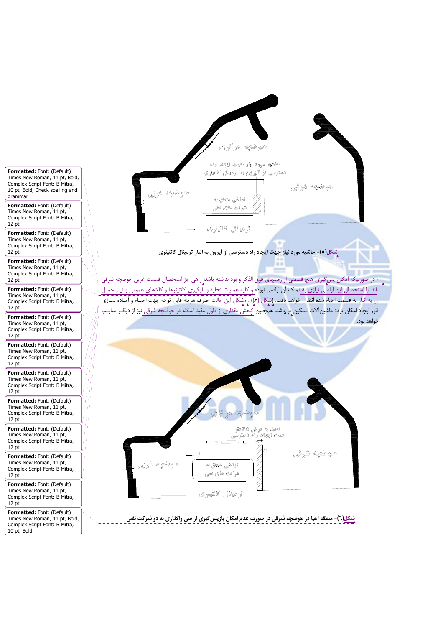

<u>شکل(</u>٥)- حاشیه مورد نیاز جهت ایجاد راه دسترسی از اَپرون به انبار ترمینال کانتینری

- در صورتیکه امکان پس ِگیری هیچ قسمتی از زمینهای فوق الذکر وجود نداشته باشد، راهی جز استحصال قسمت غربی حوضچه شرق .<br>اند. با استحصال این اراضی نیازی به تملک آن اراضی نبوده و کلیه عملیات تخلیه و بارگیری کانتینرها و کالاهای عمومی و نیـز حمـل ن به انبار به قسمت احیاء شده انتقال خواهد یافت. (شکل (۶)) . مشكل اين حالت، صرف هزينه قابل توجه جهت احيـاء و آمـاده سـازى غور ایجاد امکان تردد ماشین آلات سنگین <sub>(</sub>می باشد. همچنین کاهش مقداری از طول مفید اسکله در حوضچه شرقی نیز از دیگـر معایـ خواهد بود.



شکل(٦)- منطقه احیا در حوضچه شرقی در صورت عدم امکان بازپسگیری اراضی واگذاری به دو شرکت نفتی

Formatted: Font: (Default) Times New Roman, 11 pt, Bold, Complex Script Font: B Mitra, 10 pt, Bold, Check spelling and grammar

Formatted: Font: (Default) Times New Roman, 11 pt,<br>Complex Script Font: B Mitra, 12 pt

Formatted: Font: (Default) Times New Roman, 11 pt, Complex Script Font: B Mitra, 12 pt

Formatted: Font: (Default) Times New Roman, 11 pt, Complex Script Font: B Mitra,  $12 pt$ 

Formatted: Font: (Default) Times New Roman, 11 pt. Complex Script Font: B Mitra,  $12<sub>pt</sub>$ 

Formatted: Font: (Default) Times New Roman, 11 pt, Complex Script Font: B Mitra, 12 pt

Formatted: Font: (Default) Times New Roman, 11 pt, Complex Script Font: B Mitra,  $12 \text{ pt}$ 

Formatted: Font: (Default) Times New Roman, 11 pt. Complex Script Font: B Mitra.  $12 \text{ pt}$ 

Formatted: Font: (Default) Times New Roman, 11 pt, Complex Script Font: B Mitra.  $12 \text{ pt}$ 

Formatted: Font: (Default) Times New Roman, 11 pt, Complex Script Font: B Mitra,  $12 \text{ pt}$ 

Formatted: Font: (Default) Times New Roman, 11 pt, Complex Script Font: B Mitra,  $12 \text{ pt}$ 

Formatted: Font: (Default) Times New Roman, 11 pt, Complex Script Font: B Mitra,  $12 \text{ pt}$ 

Formatted: Font: (Default) Times New Roman, 11 pt, Bold, Complex Script Font: B Mitra, 10 pt, Bold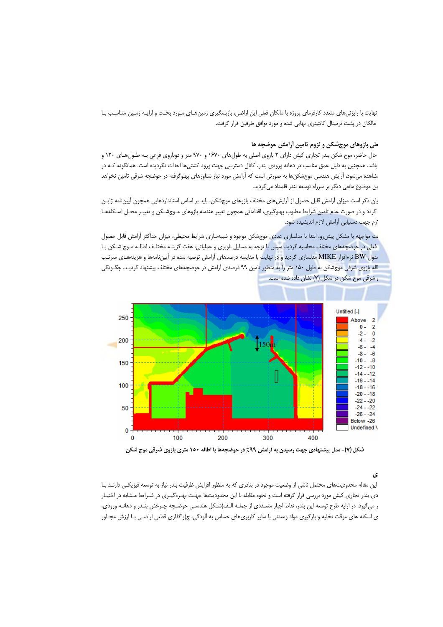نهایت با رایزنیهای متعدد کارفرمای پروژه با مالکان فعلی این اراضی، بازپسگیری زمینهـای مـورد بحـث و ارایـه زمـین متناسـب بـا مالکان در پشت ترمینال کانتینری نهایی شده و مورد توافق طرفین قرار گرفت.

## ىلى بازوهاى موجشكن و لزوم تامين أرامش حوضچه ها

حال حاضر، موج شکن بندر تجاری کیش دارای ۲ بازوی اصلی به طولهای ۱۶۷۰ و ۹۷۰ متر و دوبازوی فرعی بـه طـول هـای ۱۲۰ و باشد. همچنین به دلیل عمق مناسب در دهانه ورودی بندر، کانال دسترسی جهت ورود کشتیها احداث نگردیده است. همانگونه کـه در شاهده میشود، آرایش هندسی موجشکنها به صورتی است که آرامش مورد نیاز شناورهای پهلوگرفته در حوضچه شرقی تامین نخواهد ین موضوع مانعی دیگر بر سرراه توسعه بندر قلمداد میگردید.

یان ذکر است میزان آرامش قابل حصول از آرایش های مختلف بازوهای موجشکن، باید بر اساس استانداردهایی همچون آیینiامه ژاپـن گردد و در صورت عدم تامین شرایط مطلوب پهلوگیری، اقداماتی همچون تغییر هندسه بازوهای مـوجشـکن و تغییـر محـل اسـکلههـا زم جهت دستیابی آرامش لازم اندیشیده شود.

ے مواجهه با مشکل پیش رو، ابتدا با مدلسازی عددی موجشکن موجود و شبیهسازی شرایط محیطی، میزان حداکثر آرامش قابل حصول فعلی در حوضچههای مختلف محاسبه گردید. سپ<mark>س با</mark> توجه به مسایل ناوبری و عملیاتی، هفت گزینـه مختلـف اطالـه مـوج شـكن بـا <mark>بدول BW نرمافزار MIKE مدلسازی گردید و در نهایت با مقایسه درصدهای آرامش توصیه شده در آییننامهها و هزینههـای مترتـب</mark> اله بازوی شرقی موجشکن به طول ۱۵۰ متر را به منظور تامین ۹۹ درصدی آرامش در حوضچههای مختلف پیشنهاد گردیـد. چگـونگی ، شرقی موج شکن در شکل (۷) نشان داده شده است.



شکل (۷)- مدل پیشنهادی جهت رسیدن به اَرامش ۹۹٪ در حوضچهها با اطاله ۱۵۰ متری بازوی شرقی موج شکن

#### ی

این مقاله محدودیتهای محتمل ناشی از وضعیت موجود در بنادری که به منظور افزایش ظرفیت بندر نیاز به توسعه فیزیکـی دارنـد بـا دی بندر تجاری کیش مورد بررسی قرار گرفته است و نحوه مقابله با این محدودیتها جهت بهـرهگیـری در شـرایط مـشابه در اختیـار ر می گیرد. در ارایه طرح توسعه این بندر، نقاط اجبار متعـددی از جملـه الـف)شـكل هندسـی حوضـچه چـرخش بنـدر و دهانـه ورودی، ی اسکله های موقت تخلیه و بارگیری مواد ومعدنی با سایر کاربریهای حساس به آلودگی، ج)واگذاری قطعی اراضی بـا ارزش مجـاور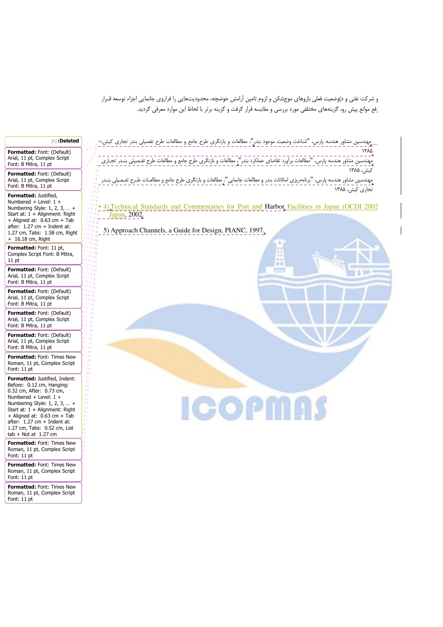و شرکت نفتی و د)وضعیت فعلی بازوهای موجشکن و لزوم تامین آرامش حوضچه، محدودیتهایی را فراروی جانمایی اجزاء توسعه قـرار ِ فع موانع پیش رو، گزینههای مختلفی مورد بررسی و مقایسه قرار گرفت و گزینه برتر با لحاظ این موارد معرفی گردید.

| <b>Deleted</b>                                                                                                                                                                                                                                                                                                           |                                                                                                                                                                                                                                                                                                                                                                                                                                                                                                    |
|--------------------------------------------------------------------------------------------------------------------------------------------------------------------------------------------------------------------------------------------------------------------------------------------------------------------------|----------------------------------------------------------------------------------------------------------------------------------------------------------------------------------------------------------------------------------------------------------------------------------------------------------------------------------------------------------------------------------------------------------------------------------------------------------------------------------------------------|
| Formatted: Font: (Default)<br>Arial, 11 pt, Complex Script<br>Font: B Mitra, 11 pt                                                                                                                                                                                                                                       | ۱۳۸۵                                                                                                                                                                                                                                                                                                                                                                                                                                                                                               |
| <b>Formatted: Font: (Default)</b><br>Arial, 11 pt, Complex Script<br>Font: B Mitra, 11 pt                                                                                                                                                                                                                                | تجاری کیش، ۱۳۸۵                                                                                                                                                                                                                                                                                                                                                                                                                                                                                    |
| Formatted: Justified,<br>Numbered + Level: $1 +$<br>Numbering Style: $1, 2, 3, \ldots$<br>Start at: $1 +$ Alignment: Right<br>+ Aligned at: $0.63$ cm + Tab<br>after: $1.27$ cm + Indent at:<br>1.27 cm, Tabs: 1.58 cm, Right<br>$+ 16.18$ cm, Right                                                                     | $1 \, \text{II}$<br>$l \parallel$<br>$1.0 \pm 1.0$<br>$\frac{f(n)}{f(n)}$ + 4) Technical Standards and Commentaries for Port and Harbor Facilities in Japan (OCDI 2002<br>1 H a<br>$\overline{u_{1}}$<br>Japan, 2002.<br>$\iota_{(H,\eta)}$<br>$1 + 1 + 1 + 1$<br>$^{I}$ 11 $\eta$ $_{\odot}$<br>5) Approach Channels, a Guide for Design, PIANC, 1997.<br>$t$ tr $y_{\rm eff}$<br>$^{1/11}$ H $_{\rm{H{\sc I}}}$<br>$\langle \ell \ell   \eta \rangle_{\rm HII}$<br>$^{14}$ H $\overline{\rm{H}}$ |
| Formatted: Font: 11 pt,<br>Complex Script Font: B Mitra,<br>$11$ pt                                                                                                                                                                                                                                                      | $\iota_{\ell, W_{\text{eff}}}$<br>$u_{\rm H, H}$<br>$u_{\rm{H,10}}$<br>$u_{\rm{H,HI}}$<br>$\iota_{H,\mathbb{H}^n_0}$<br>目面                                                                                                                                                                                                                                                                                                                                                                         |
| <b>Formatted:</b> Font: (Default)<br>Arial, 11 pt, Complex Script<br>Font: B Mitra, 11 pt                                                                                                                                                                                                                                | $\iota_{H,\mathfrak{h}\tilde{\mathfrak{h}}}$<br>$\frac{1}{2}H$ if iii<br>$\mu_{\rm H,III}$<br>$\frac{1}{2}H\hat{\mathbf{u}}_{\mathbf{u}}$<br>$u_{\rm HI}$                                                                                                                                                                                                                                                                                                                                          |
| <b>Formatted:</b> Font: (Default)<br>Arial, 11 pt, Complex Script<br>Font: B Mitra, 11 pt                                                                                                                                                                                                                                | 具五面<br>$(1 + n_{\rm eff})$<br>$u_{\rm H, 0}$<br>$\mu_{\rm H, 0i}$<br>$\pm 0.40$                                                                                                                                                                                                                                                                                                                                                                                                                    |
| Formatted: Font: (Default)<br>Arial, 11 pt, Complex Script<br>Font: B Mitra, 11 pt                                                                                                                                                                                                                                       | 1.01 m<br>$U\tilde{W}$ iii<br>$m_{\rm H}$<br>$\bar{n}_{\rm eff}$<br>$H_{\rm eff}$                                                                                                                                                                                                                                                                                                                                                                                                                  |
| Formatted: Font: (Default)<br>Arial, 11 pt, Complex Script<br>Font: B Mitra, 11 pt                                                                                                                                                                                                                                       | $u_{\rm eff}$<br>$u_{\rm m}$<br>$\mu_{\rm eff}$<br>11. IU<br>і пр                                                                                                                                                                                                                                                                                                                                                                                                                                  |
| Formatted: Font: Times New<br>Roman, 11 pt, Complex Script<br>Font: 11 pt                                                                                                                                                                                                                                                | t iy<br>t ty<br>$\eta_{\rm I}$<br>-97<br>$\eta_1$                                                                                                                                                                                                                                                                                                                                                                                                                                                  |
| <b>Formatted: Justified, Indent:</b><br>Before: 0.12 cm, Hanging:<br>0.32 cm, After: 0.73 cm,<br>Numbered + Level: $1 +$<br>Numbering Style: 1, 2, 3,  +<br>Start at: $1 +$ Alignment: Right<br>+ Aligned at: $0.63$ cm + Tab<br>$after: 1.27 cm + Indent at:$<br>1.27 cm, Tabs: 0.52 cm, List<br>$tab + Not at 1.27 cm$ | -11)<br>$\eta_{\rm T}$<br>Щ<br>$\eta_1$<br>Ш<br>Щ<br><b>ICOPMAS</b><br>Ш<br>Ш<br>Щ<br>Ħτ<br>Щ<br>Ħг<br>Щ                                                                                                                                                                                                                                                                                                                                                                                           |
| Formatted: Font: Times New<br>Roman, 11 pt, Complex Script<br>Font: 11 pt                                                                                                                                                                                                                                                |                                                                                                                                                                                                                                                                                                                                                                                                                                                                                                    |
| Formatted: Font: Times New<br>Roman, 11 pt, Complex Script<br>Font: 11 pt                                                                                                                                                                                                                                                |                                                                                                                                                                                                                                                                                                                                                                                                                                                                                                    |
| Formatted: Font: Times New<br>Roman, 11 pt, Complex Script<br>Font: 11 pt                                                                                                                                                                                                                                                |                                                                                                                                                                                                                                                                                                                                                                                                                                                                                                    |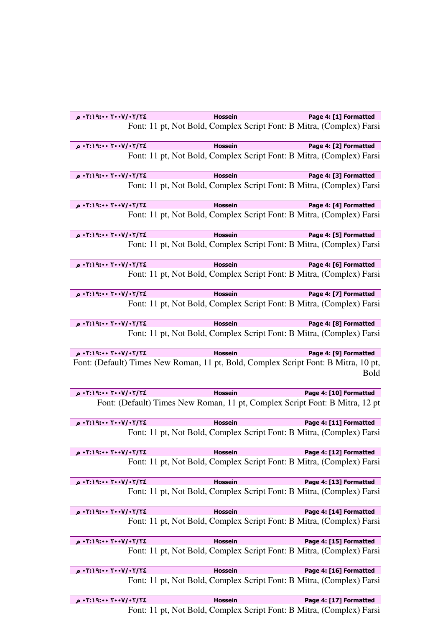| ۲/۲۶+/۲۰۰۷+ ۲:۱۹:۰۰ م     | <b>Hossein</b> | Page 4: [1] Formatted                                                                             |
|---------------------------|----------------|---------------------------------------------------------------------------------------------------|
|                           |                | Font: 11 pt, Not Bold, Complex Script Font: B Mitra, (Complex) Farsi                              |
| ٢٠١٧/٠٢/٢٤ ٠٠١٩:١٩:٠٠ م   | <b>Hossein</b> | Page 4: [2] Formatted                                                                             |
|                           |                | Font: 11 pt, Not Bold, Complex Script Font: B Mitra, (Complex) Farsi                              |
| ٢/٢٠١٧/٠٢-٢٠٠٧/٠٢:١٩:٠ م  | <b>Hossein</b> | Page 4: [3] Formatted                                                                             |
|                           |                | Font: 11 pt, Not Bold, Complex Script Font: B Mitra, (Complex) Farsi                              |
| ٢٠١٧/٠٢/٢٤ ٠٠١٩:١٩:٢٠ م   | <b>Hossein</b> | Page 4: [4] Formatted                                                                             |
|                           |                | Font: 11 pt, Not Bold, Complex Script Font: B Mitra, (Complex) Farsi                              |
| ٢٠١٧/٠٢/٢٤ ٠٠١٩:١٩:٠ م    | <b>Hossein</b> | Page 4: [5] Formatted                                                                             |
|                           |                | Font: 11 pt, Not Bold, Complex Script Font: B Mitra, (Complex) Farsi                              |
| ٢٠١٧/٠٢/٢٤ ٠٠١٩:١٩:٠ م    | <b>Hossein</b> | Page 4: [6] Formatted                                                                             |
|                           |                | Font: 11 pt, Not Bold, Complex Script Font: B Mitra, (Complex) Farsi                              |
| ٢٠١٧/٠٢/٢٤ ٠٠١٩:١٩:٠٠ م   | <b>Hossein</b> | Page 4: [7] Formatted                                                                             |
|                           |                | Font: 11 pt, Not Bold, Complex Script Font: B Mitra, (Complex) Farsi                              |
| ٢٠١٧/٠٢/٢٤ ٠٠١٩:١٩:٢٠ م   | <b>Hossein</b> | Page 4: [8] Formatted                                                                             |
|                           |                | Font: 11 pt, Not Bold, Complex Script Font: B Mitra, (Complex) Farsi                              |
| ٢٠١٧/٠٢/٢٤ ٠٠١٩:١٩:٠ م    | <b>Hossein</b> | Page 4: [9] Formatted                                                                             |
|                           |                |                                                                                                   |
|                           |                | Font: (Default) Times New Roman, 11 pt, Bold, Complex Script Font: B Mitra, 10 pt,<br><b>Bold</b> |
| ٢/٢٠١٧/٠٢/٢٤ ٠٠١٩:١٩:٢٠ م | <b>Hossein</b> | Page 4: [10] Formatted                                                                            |
|                           |                | Font: (Default) Times New Roman, 11 pt, Complex Script Font: B Mitra, 12 pt                       |
| ٢/٢٠١٧/٠٢/٢٤ ٠٠١٩:١٩:٢٠ م | <b>Hossein</b> | Page 4: [11] Formatted                                                                            |
|                           |                | Font: 11 pt, Not Bold, Complex Script Font: B Mitra, (Complex) Farsi                              |
| ٢/٢٠٢/٠٠٧/٠٢:١٩:٠٠ م      | <b>Hossein</b> | Page 4: [12] Formatted                                                                            |
|                           |                | Font: 11 pt, Not Bold, Complex Script Font: B Mitra, (Complex) Farsi                              |
| ٢/٢٠٢/٠٠٧/٠٢:١٩:٠٠ م      | <b>Hossein</b> | Page 4: [13] Formatted                                                                            |
|                           |                | Font: 11 pt, Not Bold, Complex Script Font: B Mitra, (Complex) Farsi                              |
| ٢/٢٠٢/٠٢/٠٢٠٠٩:١٩:٠٠ م    | <b>Hossein</b> | Page 4: [14] Formatted                                                                            |
|                           |                | Font: 11 pt, Not Bold, Complex Script Font: B Mitra, (Complex) Farsi                              |
| ٢/٢٠٢/٠٢/٠٢٠٠٧/٠٢:١٩:٠ م  | <b>Hossein</b> | Page 4: [15] Formatted                                                                            |
|                           |                | Font: 11 pt, Not Bold, Complex Script Font: B Mitra, (Complex) Farsi                              |
| ٢/٢/١٩:٠٠٧/٠٢/٢٤ م        | <b>Hossein</b> | Page 4: [16] Formatted                                                                            |
|                           |                | Font: 11 pt, Not Bold, Complex Script Font: B Mitra, (Complex) Farsi                              |

Font: 11 pt, Not Bold, Complex Script Font: B Mitra, (Complex) Farsi